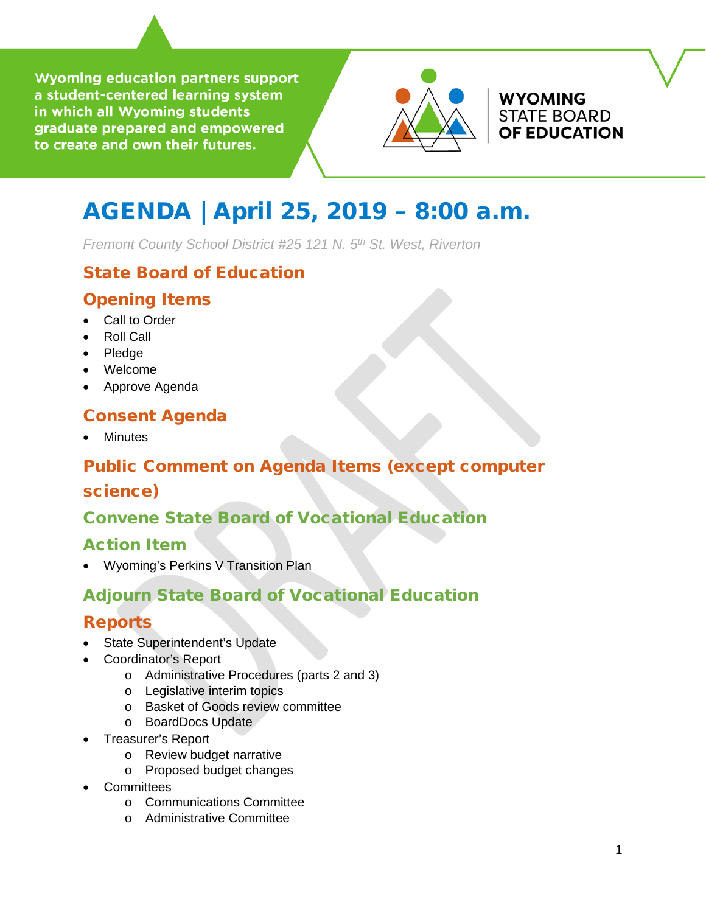**Wyoming education partners support** a student-centered learning system in which all Wyoming students graduate prepared and empowered to create and own their futures.



**WYOMING STATE BOARD OF EDUCATION** 

# AGENDA | April 25, 2019 – 8:00 a.m.

*Fremont County School District #25 121 N. 5th St. West, Riverton* 

# State Board of Education

### Opening Items

- Call to Order
- Roll Call
- Pledge
- Welcome
- Approve Agenda

### Consent Agenda

**Minutes** 

# Public Comment on Agenda Items (except computer

### science)

## Convene State Board of Vocational Education

### Action Item

• Wyoming's Perkins V Transition Plan

# Adjourn State Board of Vocational Education

## Reports

- State Superintendent's Update
- Coordinator's Report
	- o Administrative Procedures (parts 2 and 3)
	- o Legislative interim topics
	- o Basket of Goods review committee
	- o BoardDocs Update
- Treasurer's Report
	- o Review budget narrative
	- o Proposed budget changes
- **Committees** 
	- o Communications Committee
	- o Administrative Committee